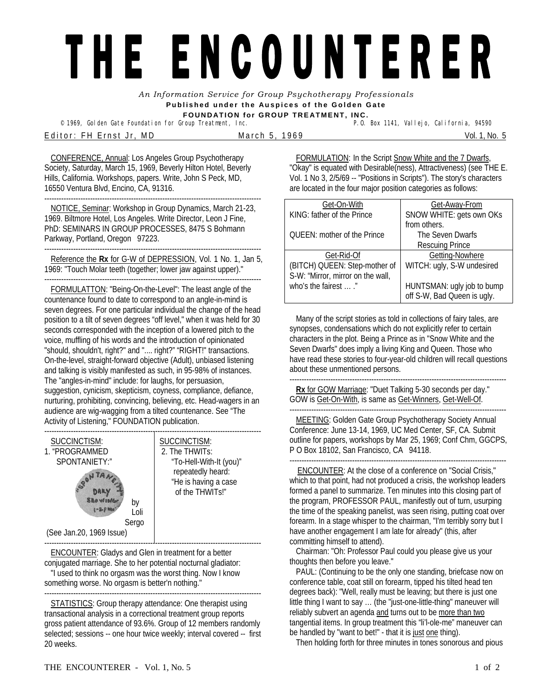## THE ENCOUNTERER

*An Information Service for Group Psychotherapy Professionals*  **Published under the Auspices of the Golden Gate FOUNDATION for GROUP TREATMENT, INC.** 

<sup>©</sup> 1969, Golden Gate Foundation for Group Treatment, Inc. E ditor: FH Ernst Jr, MD March 5, 1969 March 2012 12: No. 5

CONFERENCE, Annual: Los Angeles Group Psychotherapy Society, Saturday, March 15, 1969, Beverly Hilton Hotel, Beverly Hills, California. Workshops, papers. Write, John S Peck, MD, 16550 Ventura Blvd, Encino, CA, 91316.

------------------------------------------------------------------------------------------ NOTICE, Seminar: Workshop in Group Dynamics, March 21-23, 1969. Biltmore Hotel, Los Angeles. Write Director, Leon J Fine, PhD: SEMINARS IN GROUP PROCESSES, 8475 S Bohmann Parkway, Portland, Oregon 97223.

------------------------------------------------------------------------------------------ Reference the **Rx** for G-W of DEPRESSION, Vol. 1 No. 1, Jan 5, 1969: "Touch Molar teeth (together; lower jaw against upper)."

------------------------------------------------------------------------------------------ FORMULATTON: "Being-On-the-Level": The least angle of the countenance found to date to correspond to an angle-in-mind is seven degrees. For one particular individual the change of the head position to a tilt of seven degrees "off level," when it was held for 30 seconds corresponded with the inception of a lowered pitch to the voice, muffling of his words and the introduction of opinionated "should, shouldn't, right?" and ".... right?" "RIGHT!" transactions. On-the-level, straight-forward objective (Adult), unbiased listening and talking is visibly manifested as such, in 95-98% of instances. The "angles-in-mind" include: for laughs, for persuasion, suggestion, cynicism, skepticism, coyness, compliance, defiance, nurturing, prohibiting, convincing, believing, etc. Head-wagers in an audience are wig-wagging from a tilted countenance. See "The Activity of Listening," FOUNDATION publication.



ENCOUNTER: Gladys and Glen in treatment for a better conjugated marriage. She to her potential nocturnal gladiator: "I used to think no orgasm was the worst thing. Now I know something worse. No orgasm is better'n nothing." ------------------------------------------------------------------------------------------

STATISTICS: Group therapy attendance: One therapist using transactional analysis in a correctional treatment group reports gross patient attendance of 93.6%. Group of 12 members randomly selected; sessions -- one hour twice weekly; interval covered -- first 20 weeks.

FORMULATION: In the Script Snow White and the 7 Dwarfs, "Okay" is equated with Desirable(ness), Attractiveness) (see THE E. Vol. 1 No 3, 2/5/69 -- "Positions in Scripts"). The story's characters are located in the four major position categories as follows:

| Get-On-With                       | Get-Away-From               |
|-----------------------------------|-----------------------------|
| KING: father of the Prince        | SNOW WHITE: gets own OKs    |
|                                   | from others.                |
| OUEEN: mother of the Prince       | The Seven Dwarfs            |
|                                   | <b>Rescuing Prince</b>      |
| Get-Rid-Of                        | Getting-Nowhere             |
| (BITCH) QUEEN: Step-mother of     | WITCH: ugly, S-W undesired  |
| S-W: "Mirror, mirror on the wall, |                             |
| who's the fairest  ."             | HUNTSMAN: ugly job to bump  |
|                                   | off S-W, Bad Queen is ugly. |

Many of the script stories as told in collections of fairy tales, are synopses, condensations which do not explicitly refer to certain characters in the plot. Being a Prince as in "Snow White and the Seven Dwarfs" does imply a living King and Queen. Those who have read these stories to four-year-old children will recall questions about these unmentioned persons.

------------------------------------------------------------------------------------------ **Rx** for GOW Marriage: "Duet Talking 5-30 seconds per day." GOW is Get-On-With, is same as Get-Winners, Get-Well-Of. ------------------------------------------------------------------------------------------

MEETING: Golden Gate Group Psychotherapy Society Annual Conference: June 13-14, 1969, UC Med Center, SF, CA. Submit outline for papers, workshops by Mar 25, 1969; Conf Chm, GGCPS, P O Box 18102, San Francisco, CA 94118.

------------------------------------------------------------------------------------------ ENCOUNTER: At the close of a conference on "Social Crisis," which to that point, had not produced a crisis, the workshop leaders formed a panel to summarize. Ten minutes into this closing part of the program, PROFESSOR PAUL, manifestly out of turn, usurping the time of the speaking panelist, was seen rising, putting coat over forearm. In a stage whisper to the chairman, "I'm terribly sorry but I have another engagement I am late for already" (this, after committing himself to attend).

Chairman: "Oh: Professor Paul could you please give us your thoughts then before you leave."

PAUL: (Continuing to be the only one standing, briefcase now on conference table, coat still on forearm, tipped his tilted head ten degrees back): "Well, really must be leaving; but there is just one little thing I want to say … (the "just-one-little-thing" maneuver will reliably subvert an agenda and turns out to be more than two tangential items. In group treatment this "li'l-ole-me" maneuver can be handled by "want to bet!" - that it is just one thing).

Then holding forth for three minutes in tones sonorous and pious